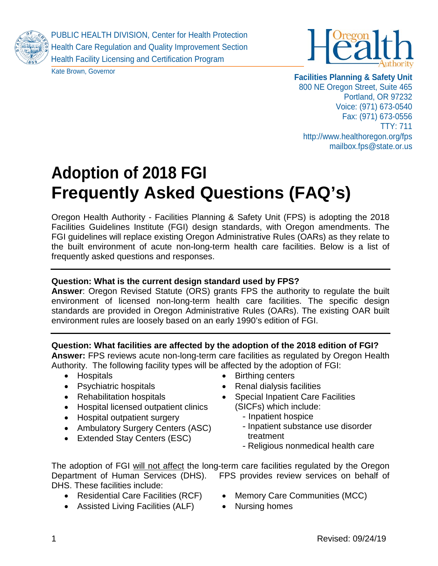

PUBLIC HEALTH DIVISION, Center for Health Protection Health Care Regulation and Quality Improvement Section Health Facility Licensing and Certification Program





**Facilities Planning & Safety Unit** 800 NE Oregon Street, Suite 465 Portland, OR 97232 Voice: (971) 673-0540 Fax: (971) 673-0556 TTY: 711 http://www.healthoregon.org/fps mailbox.fps@state.or.us

# **Adoption of 2018 FGI Frequently Asked Questions (FAQ's)**

Oregon Health Authority - Facilities Planning & Safety Unit (FPS) is adopting the 2018 Facilities Guidelines Institute (FGI) design standards, with Oregon amendments. The FGI guidelines will replace existing Oregon Administrative Rules (OARs) as they relate to the built environment of acute non-long-term health care facilities. Below is a list of frequently asked questions and responses.

# **Question: What is the current design standard used by FPS?**

**Answer**: Oregon Revised Statute (ORS) grants FPS the authority to regulate the built environment of licensed non-long-term health care facilities. The specific design standards are provided in Oregon Administrative Rules (OARs). The existing OAR built environment rules are loosely based on an early 1990's edition of FGI.

## **Question: What facilities are affected by the adoption of the 2018 edition of FGI?**

**Answer:** FPS reviews acute non-long-term care facilities as regulated by Oregon Health Authority. The following facility types will be affected by the adoption of FGI:

- Hospitals
- Psychiatric hospitals
- Rehabilitation hospitals
- Hospital licensed outpatient clinics
- Hospital outpatient surgery
- Ambulatory Surgery Centers (ASC)
- Extended Stay Centers (ESC)
- Birthing centers
- Renal dialysis facilities
- Special Inpatient Care Facilities (SICFs) which include:
	- Inpatient hospice
	- Inpatient substance use disorder treatment
	- Religious nonmedical health care

The adoption of FGI will not affect the long-term care facilities regulated by the Oregon Department of Human Services (DHS). FPS provides review services on behalf of DHS. These facilities include:

- Residential Care Facilities (RCF)
- Assisted Living Facilities (ALF)
- Memory Care Communities (MCC)
- Nursing homes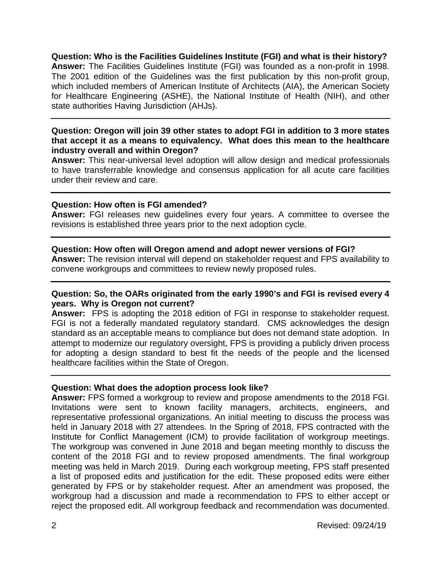**Question: Who is the Facilities Guidelines Institute (FGI) and what is their history? Answer:** The Facilities Guidelines Institute (FGI) was founded as a non-profit in 1998. The 2001 edition of the Guidelines was the first publication by this non-profit group, which included members of American Institute of Architects (AIA), the American Society for Healthcare Engineering (ASHE), the National Institute of Health (NIH), and other state authorities Having Jurisdiction (AHJs).

#### **Question: Oregon will join 39 other states to adopt FGI in addition to 3 more states that accept it as a means to equivalency. What does this mean to the healthcare industry overall and within Oregon?**

**Answer:** This near-universal level adoption will allow design and medical professionals to have transferrable knowledge and consensus application for all acute care facilities under their review and care.

#### **Question: How often is FGI amended?**

**Answer:** FGI releases new guidelines every four years. A committee to oversee the revisions is established three years prior to the next adoption cycle.

#### **Question: How often will Oregon amend and adopt newer versions of FGI?**

**Answer:** The revision interval will depend on stakeholder request and FPS availability to convene workgroups and committees to review newly proposed rules.

#### **Question: So, the OARs originated from the early 1990's and FGI is revised every 4 years. Why is Oregon not current?**

**Answer:** FPS is adopting the 2018 edition of FGI in response to stakeholder request. FGI is not a federally mandated regulatory standard. CMS acknowledges the design standard as an acceptable means to compliance but does not demand state adoption. In attempt to modernize our regulatory oversight, FPS is providing a publicly driven process for adopting a design standard to best fit the needs of the people and the licensed healthcare facilities within the State of Oregon.

## **Question: What does the adoption process look like?**

**Answer:** FPS formed a workgroup to review and propose amendments to the 2018 FGI. Invitations were sent to known facility managers, architects, engineers, and representative professional organizations. An initial meeting to discuss the process was held in January 2018 with 27 attendees. In the Spring of 2018, FPS contracted with the Institute for Conflict Management (ICM) to provide facilitation of workgroup meetings. The workgroup was convened in June 2018 and began meeting monthly to discuss the content of the 2018 FGI and to review proposed amendments. The final workgroup meeting was held in March 2019. During each workgroup meeting, FPS staff presented a list of proposed edits and justification for the edit. These proposed edits were either generated by FPS or by stakeholder request. After an amendment was proposed, the workgroup had a discussion and made a recommendation to FPS to either accept or reject the proposed edit. All workgroup feedback and recommendation was documented.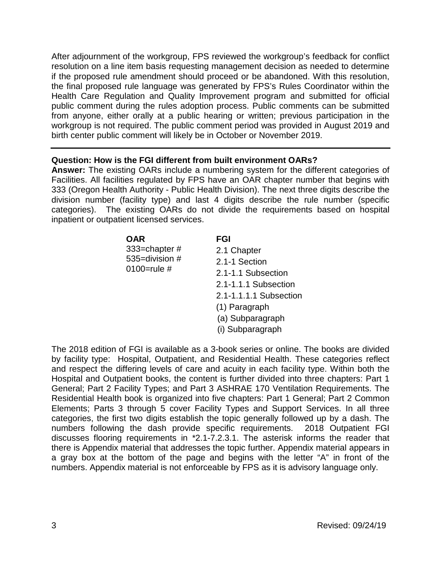After adjournment of the workgroup, FPS reviewed the workgroup's feedback for conflict resolution on a line item basis requesting management decision as needed to determine if the proposed rule amendment should proceed or be abandoned. With this resolution, the final proposed rule language was generated by FPS's Rules Coordinator within the Health Care Regulation and Quality Improvement program and submitted for official public comment during the rules adoption process. Public comments can be submitted from anyone, either orally at a public hearing or written; previous participation in the workgroup is not required. The public comment period was provided in August 2019 and birth center public comment will likely be in October or November 2019.

#### **Question: How is the FGI different from built environment OARs?**

**Answer:** The existing OARs include a numbering system for the different categories of Facilities. All facilities regulated by FPS have an OAR chapter number that begins with 333 (Oregon Health Authority - Public Health Division). The next three digits describe the division number (facility type) and last 4 digits describe the rule number (specific categories). The existing OARs do not divide the requirements based on hospital inpatient or outpatient licensed services.

| OAR                                           | <b>FGI</b>             |
|-----------------------------------------------|------------------------|
| 333=chapter#<br>535=division #<br>0100=rule # | 2.1 Chapter            |
|                                               | 2.1-1 Section          |
|                                               | 2.1-1.1 Subsection     |
|                                               | 2.1-1.1.1 Subsection   |
|                                               | 2.1-1.1.1.1 Subsection |
|                                               | (1) Paragraph          |
|                                               | (a) Subparagraph       |
|                                               | (i) Subparagraph       |
|                                               |                        |

The 2018 edition of FGI is available as a 3-book series or online. The books are divided by facility type: Hospital, Outpatient, and Residential Health. These categories reflect and respect the differing levels of care and acuity in each facility type. Within both the Hospital and Outpatient books, the content is further divided into three chapters: Part 1 General; Part 2 Facility Types; and Part 3 ASHRAE 170 Ventilation Requirements. The Residential Health book is organized into five chapters: Part 1 General; Part 2 Common Elements; Parts 3 through 5 cover Facility Types and Support Services. In all three categories, the first two digits establish the topic generally followed up by a dash. The numbers following the dash provide specific requirements. 2018 Outpatient FGI discusses flooring requirements in \*2.1-7.2.3.1. The asterisk informs the reader that there is Appendix material that addresses the topic further. Appendix material appears in a gray box at the bottom of the page and begins with the letter "A" in front of the numbers. Appendix material is not enforceable by FPS as it is advisory language only.